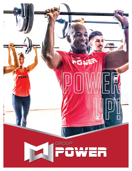